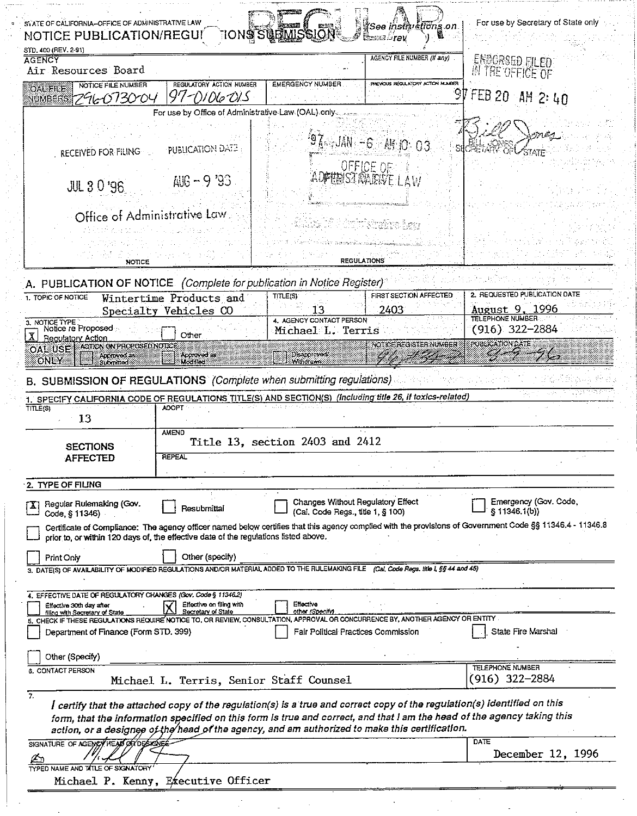| STATE OF CALIFORNIA-OFFICE OF ADMINISTRATIVE LAW                                                                                                                                                                                 |                                                                    | IONS SUBMISSION                                                        | ¥See instituctions on                            | For use by Secretary of State only                                                                                                                        |
|----------------------------------------------------------------------------------------------------------------------------------------------------------------------------------------------------------------------------------|--------------------------------------------------------------------|------------------------------------------------------------------------|--------------------------------------------------|-----------------------------------------------------------------------------------------------------------------------------------------------------------|
| <b>NOTICE PUBLICATION/REGUI</b><br>STD, 400 (REV, 2-91)<br><b>AGENCY</b>                                                                                                                                                         |                                                                    |                                                                        | Eesse Stev<br><b>AGENCY FILE NUMBER (If any)</b> | ENDORSED FILED.                                                                                                                                           |
| Air Resources Board<br>NOTICE FILE NUMBER                                                                                                                                                                                        | REGULATORY ACTION NUMBER                                           | <b>EMERGENCY NUMBER</b>                                                | PREVOUS REGULATORY ACTION NUMBER                 | 脾THE OFFICE OF                                                                                                                                            |
| <b>OAL FILE</b><br>296073004<br>NUMBERS                                                                                                                                                                                          | 97-DIO6-DIS<br>For use by Office of Administrative Law (OAL) only. |                                                                        |                                                  | FEB 20<br>AM 2: 40                                                                                                                                        |
|                                                                                                                                                                                                                                  |                                                                    |                                                                        |                                                  |                                                                                                                                                           |
| RECEIVED FOR FILING                                                                                                                                                                                                              | <b>PUBLICATION DATE</b>                                            |                                                                        | $97 - JAN - 6$ MM 10 03                          |                                                                                                                                                           |
| <b>JUL 3 0 '96</b>                                                                                                                                                                                                               | $AUB - 9'93$                                                       |                                                                        | OFFICE OF                                        |                                                                                                                                                           |
| Office of Administrative Law                                                                                                                                                                                                     |                                                                    |                                                                        |                                                  |                                                                                                                                                           |
|                                                                                                                                                                                                                                  |                                                                    |                                                                        |                                                  |                                                                                                                                                           |
| <b>NOTICE</b>                                                                                                                                                                                                                    |                                                                    |                                                                        | REGULATIONS                                      |                                                                                                                                                           |
| A. PUBLICATION OF NOTICE (Complete for publication in Notice Register)                                                                                                                                                           |                                                                    |                                                                        |                                                  |                                                                                                                                                           |
| 1. TOPIC OF NOTICE                                                                                                                                                                                                               | Wintertime Products and                                            | TITLE(S)                                                               | FIRST SECTION AFFECTED                           | 2. REQUESTED PUBLICATION DATE                                                                                                                             |
|                                                                                                                                                                                                                                  | Specialty Vehicles CO                                              | 13<br>4. AGENCY CONTACT PERSON                                         | 2403                                             | August 9, 1996<br><b>TELEPHONE NUMBER</b>                                                                                                                 |
| 3. NOTICE TYPE<br>Notice re Proposed<br>Regulatory Action                                                                                                                                                                        | Other                                                              | Michael L. Terris                                                      |                                                  | $(916)$ 322-2884                                                                                                                                          |
| OAL USE   ACTONON PROPOSED NOTICE<br>ONLY<br>ut miteo                                                                                                                                                                            | Approved as<br>Modified                                            | Disapproved/                                                           | NOTICE REGISTER NUMBER                           | PUBLICATION DATE<br>C. je u s                                                                                                                             |
| B. SUBMISSION OF REGULATIONS (Complete when submitting regulations)                                                                                                                                                              |                                                                    |                                                                        |                                                  |                                                                                                                                                           |
| 1. SPECIFY CALIFORNIA CODE OF REGULATIONS TITLE(S) AND SECTION(S) (Including title 26, if toxics-related)<br>TITLE(S)                                                                                                            | <b>ADOPT</b>                                                       |                                                                        |                                                  |                                                                                                                                                           |
| 13                                                                                                                                                                                                                               | <b>AMEND</b>                                                       |                                                                        |                                                  |                                                                                                                                                           |
| <b>SECTIONS</b>                                                                                                                                                                                                                  |                                                                    | Title 13, section 2403 and 2412                                        |                                                  |                                                                                                                                                           |
| <b>AFFECTED</b>                                                                                                                                                                                                                  | <b>REPEAL</b>                                                      |                                                                        |                                                  |                                                                                                                                                           |
| 2. TYPE OF FILING                                                                                                                                                                                                                |                                                                    |                                                                        |                                                  |                                                                                                                                                           |
| Regular Rulemaking (Gov.<br>Code, § 11346)                                                                                                                                                                                       | Resubmittal                                                        | Changes Without Regulatory Effect<br>(Cal, Code Regs., title 1, § 100) |                                                  | Emergency (Gov. Code,<br>§ 11346.1(b))                                                                                                                    |
| prior to, or within 120 days of, the effective date of the regulations listed above.                                                                                                                                             |                                                                    |                                                                        |                                                  | Certificate of Compliance: The agency officer named below certifies that this agency complied with the provisions of Government Code §§ 11346.4 - 11346.8 |
| Print Only                                                                                                                                                                                                                       | Other (specify)                                                    |                                                                        |                                                  |                                                                                                                                                           |
| 3. DATE(S) OF AVAILABILITY OF MODIFIED REGULATIONS AND/OR MATERIAL ADDED TO THE RULEMAKING FILE (Cal. Code Regs. title 1, §§ 44 and 45)                                                                                          |                                                                    |                                                                        |                                                  |                                                                                                                                                           |
| 4. EFFECTIVE DATE OF REGULATORY CHANGES (Gov. Code § 11346.2)                                                                                                                                                                    |                                                                    |                                                                        |                                                  |                                                                                                                                                           |
| Effective 30th day after<br>filing with Secretary of State                                                                                                                                                                       | Effective on filing with<br>Secretary of State                     | Effective<br>other <i>(Specify</i> )                                   |                                                  |                                                                                                                                                           |
| 5. CHECK IF THESE REGULATIONS REQUIRE NOTICE TO, OR REVIEW, CONSULTATION, APPROVAL OR CONCURRENCE BY, ANOTHER AGENCY OR ENTITY<br>Department of Finance (Form STD, 399)                                                          |                                                                    | Fair Political Practices Commission                                    |                                                  | State Fire Marshal                                                                                                                                        |
| Other (Specify)                                                                                                                                                                                                                  |                                                                    |                                                                        |                                                  |                                                                                                                                                           |
| <b>6. CONTACT PERSON</b>                                                                                                                                                                                                         | Michael L. Terris, Senior Staff Counsel                            |                                                                        |                                                  | <b>TELEPHONE NUMBER</b><br>(916) 322–2884                                                                                                                 |
| 7.<br>I certify that the attached copy of the regulation(s) is a true and correct copy of the regulation(s) identified on this<br>action, or a designee of the head of the agency, and am authorized to make this certification. |                                                                    |                                                                        |                                                  | form, that the information specified on this form is true and correct, and that I am the head of the agency taking this                                   |
| SIGNATURE OF AGENCY HEAD OF DESKEVEN                                                                                                                                                                                             |                                                                    |                                                                        |                                                  | DATE                                                                                                                                                      |
| TYPED NAME AND TITLE OF SIGNATORY                                                                                                                                                                                                |                                                                    |                                                                        |                                                  | December 12, 1996                                                                                                                                         |
|                                                                                                                                                                                                                                  | Michael P. Kenny, Executive Officer                                |                                                                        |                                                  |                                                                                                                                                           |
|                                                                                                                                                                                                                                  |                                                                    |                                                                        |                                                  |                                                                                                                                                           |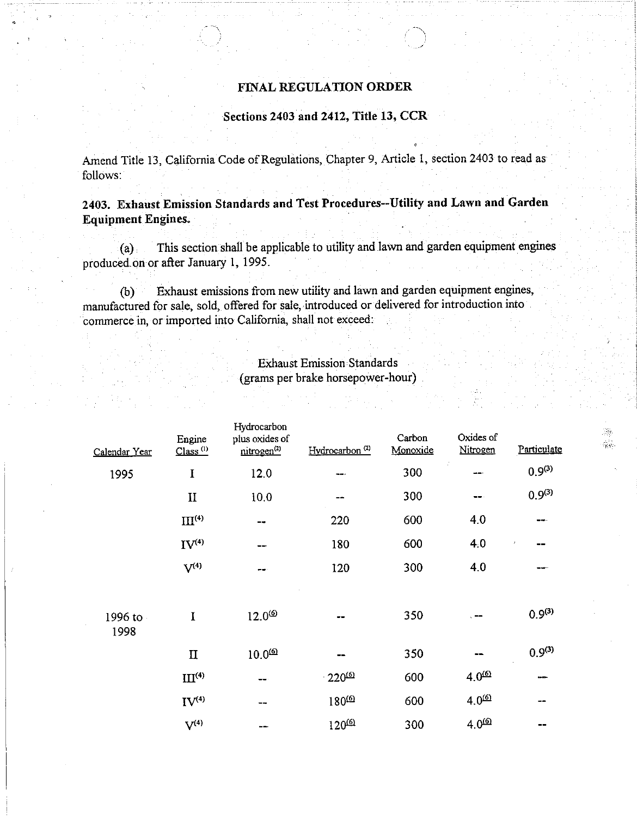## FINAL REGULATION ORDER

## Sections 2403 and 2412, Title 13, CCR

Amend Title 13, California Code of Regulations, Chapter 9, Article 1, section 2403 to read as follows:

2403. Exhaust Emission Standards and Test Procedures-Utility and Lawn and Garden Equipment Engines.

(a) . This section shall be applicable to utility and lawn and garden equipment engines produced on or after January 1, 1995.

(b) Exhaust emissions from new utility and lawn and garden equipment engines, manufactured for sale, sold, offered for sale, introduced or delivered for introduction into commerce in, or imported into California, shall not exceed:

## Exhaust Emission Standards (grams per brake horsepower-hour)

I. Q40.

| Calendar Year   | Engine<br>Class <sup>(1)</sup> | Hydrocarbon<br>plus oxides of<br>nitrogen <sup>(2)</sup> | Hydrocarbon <sup>(2)</sup> | Carbon<br>Monoxide | Oxides of<br>Nitrogen | Particulate |  |
|-----------------|--------------------------------|----------------------------------------------------------|----------------------------|--------------------|-----------------------|-------------|--|
| 1995            | $\mathbf I$                    | 12.0                                                     | --                         | 300                | ÷<br>--               | $0.9^{(3)}$ |  |
|                 | $\mathbf{I}$                   | 10.0                                                     | --                         | 300                | --                    | $0.9^{(3)}$ |  |
|                 | III <sup>(4)</sup>             | $-\bullet$                                               | 220                        | 600                | 4.0                   | ---         |  |
|                 | IV <sup>(4)</sup>              | --                                                       | 180                        | 600                | 4.0                   | --          |  |
|                 | $V^{(4)}$                      | --                                                       | 120                        | 300                | 4.0                   | --          |  |
| 1996 to<br>1998 | I                              | $12.0^{(6)}$                                             | --                         | 350                | --                    | $0.9^{(3)}$ |  |
|                 | $\Pi$                          | $10.0^{60}$                                              | --                         | 350                | --                    | $0.9^{(3)}$ |  |
|                 | III <sup>(4)</sup>             | --                                                       | $-220^{60}$                | 600                | $4.0^\text{O}$        | --          |  |
|                 | IV <sup>(4)</sup>              | --                                                       | $180^{60}$                 | 600                | $4.0^{60}$            | $- -$       |  |
|                 | $V^{(4)}$                      | --                                                       | $120^{60}$                 | 300                | $4.0^{60}$            | --          |  |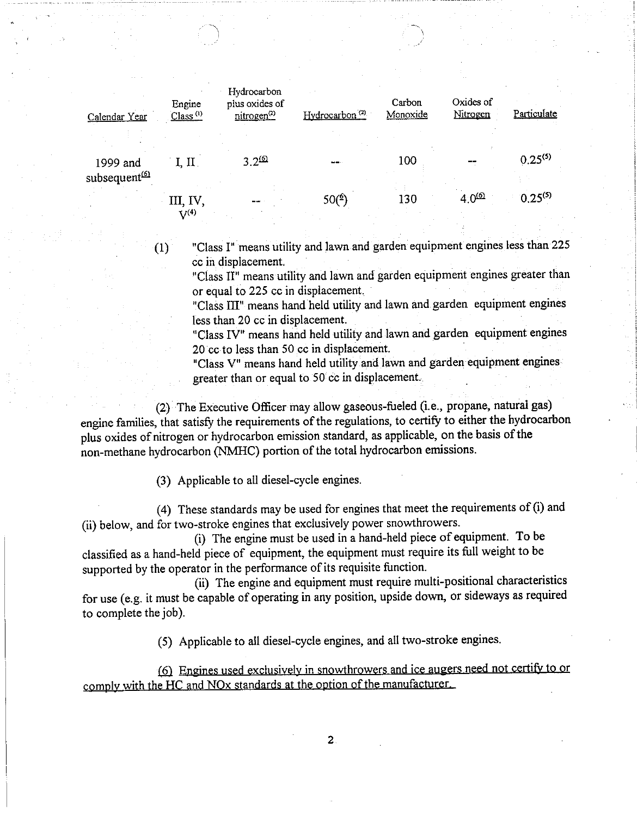| Calendar Year                         | Engine<br>Class <sup>(1)</sup> | Hydrocarbon<br>plus oxides of<br>nitrogen <sup>(2)</sup> | Hydrocarbon <sup>(2)</sup> | Carbon<br>Monoxide | Oxides of<br>Nitrogen | Particulate  |
|---------------------------------------|--------------------------------|----------------------------------------------------------|----------------------------|--------------------|-----------------------|--------------|
| 1999 and<br>subsequent <sup>(6)</sup> | I, II                          | $3.2^{60}$                                               |                            | 100                |                       | $0.25^{(5)}$ |
|                                       | III. IV,<br>$\binom{1}{4}$     |                                                          | $50(^{6})$                 | 130                | $4.0^{60}$            | $0.25^{(5)}$ |

(1) "Class I" means utility and lawn and garden equipment engines less than 225 cc in displacement.

"Class II" means utility and lawn and garden equipment engines greater than or equal to 225 cc in displacement.

"Class III" means hand held utility and lawn and garden equipment engines less than 20 cc in displacement.

"Class IV" means hand held utility and lawn and garden equipment engines 20 cc to less than 50 cc in displacement.

"Class V" means hand held utility and lawn and garden equipment engines greater than or equal to 50 cc in displacement.

(2) The Executive Officer may allow gaseous-fueled (i.e., propane, natural gas) engine families, that satisfy the requirements of the regulations, to certify to either the hydrocarbon plus oxides of nitrogen or hydrocarbon emission standard, as applicable, on the basis of the non-methane hydrocarbon (NMHC) portion of the total hydrocarbon emissions.

(3) Applicable to all diesel-cycle engines.

(4) These standards may be used for engines that meet the requirements of (i) and (ii) below, and for two-stroke engines that exclusively power snowthrowers.

(i) The engine must be used in a hand-held piece of equipment. To be classified as a hand-held piece of equipment, the equipment must require its full weight to be supported by the operator in the performance of its requisite function.

(ii) The engine and equipment must require multi-positional characteristics for use (e.g. it must be capable of operating in any position, upside down, or sideways as required to complete the job).

(5) Applicable to all diesel-cycle engines, and all two-stroke engines.

(6) Engines used exclusively in snowthrowers and ice augers need not certify to or comply with the HC and NOx standards at the option of the manufacturer.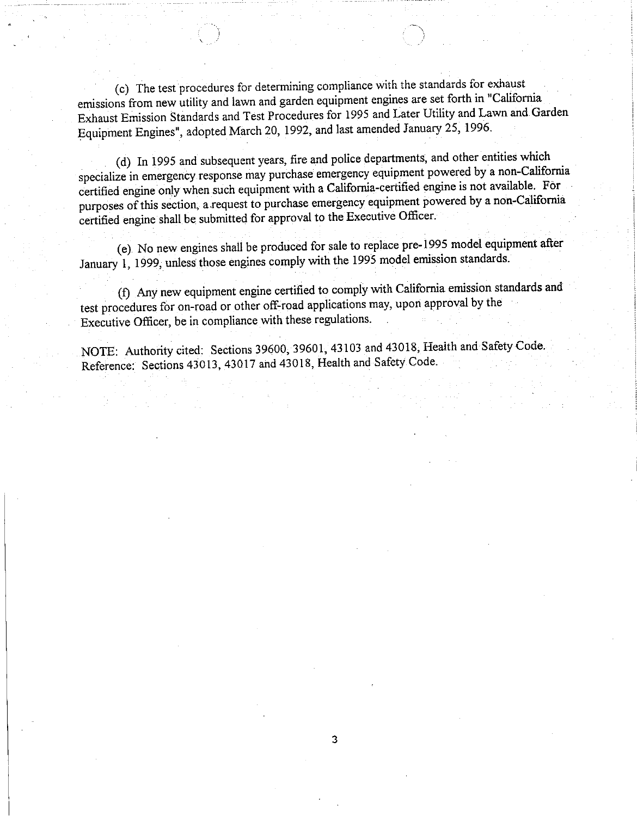(c) The test procedures for determining compliance with the standards for exhaust emissions from new utility and lawn and garden equipment engines are set forth in "California" Exhaust Emission Standards and Test Procedures for 1995 and Later Utility and Lawn and Garden Exhaust Emission Standards and Test Procedure for  $\frac{1}{2}$  and  $\frac{1}{2}$  and  $\frac{1}{2}$  and  $\frac{1}{2}$  and  $\frac{1}{2}$  and  $\frac{1}{2}$  and  $\frac{1}{2}$  and  $\frac{1}{2}$  and  $\frac{1}{2}$  and  $\frac{1}{2}$  and  $\frac{1}{2}$  and  $\frac{1}{2}$  and  $\frac$ Equipment Engines", adopted March 20, 1992, and last amended January 25, 1996.

(d) In 1995 and subsequent years, fire and police departments, and other entities which specialize in emergency response may purchase emergency equipment powered by a non-California certified engine only when such equipment with a California-certified engine is not available. For certified engine only when such equipment with a California-certified engine is not a non-Californi purposes of this section, a request to purchase emergency emergency emergency emergency emergency emergency of certified engine shall be submitted for approval to the Executive Officer.

(e) No new engines shall be produced for sale to replace pre-1995 model equipment after January 1, 1999, unless those engines comply with the 1995 model emission standards.

(f) Any new equipment engine certified to comply with California emission standards and test procedures for on-road or other on-road applications may, upon approximately Executive Officer, be in compliance with these regulations.

NOTE: Authority cited: Sections 39600, 39601, 43103 and 43018, Health and Safety Code. Reference: Sections 43013, 43017 and 43018, Health and Safety Code.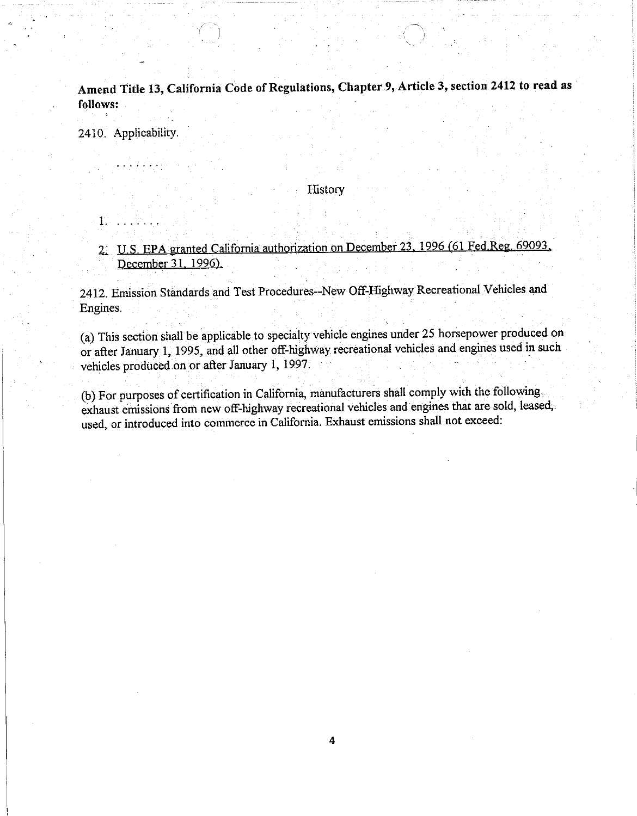Amend Title 13, California Code of Regulations, Chapter 9, Article 3, section 2412 to read as follows:

2410. Applicability.

1.

## History

2. U.S. EPA granted California authorization on December 23. 1996 (61 Fed Reg. 69093. December 31. 1996).

2412. Emission Standards and Test Procedures--New Off-Highway Recreational Vehicles and Engines.

(a) This section shall be applicable to specialty vehicle engines under 25 horsepower produced on or after January 1, 1995, and all other off-highway recreational vehicles and engines used in such vehicles produced on or after January 1, 1997.

(b) For purposes of certification in California, manufacturers shall comply with the following exhaust emissions from new off-highway recreational vehicles and engines that are sold, leased, used, or introduced into commerce in California. Exhaust emissions shall not exceed: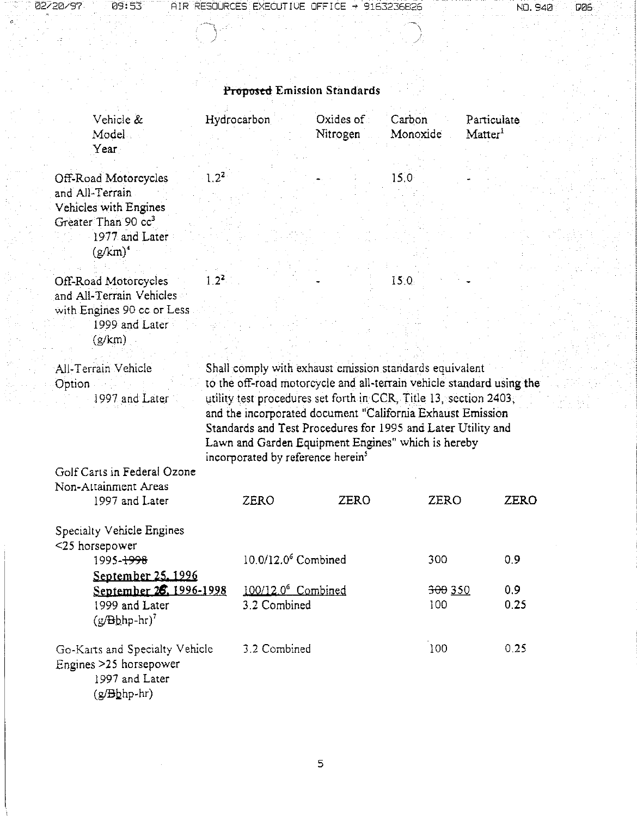| 02720797 | 09:53 | AIR RESOURCES EXECUTIVE OFFICE $\rightarrow$ 9163236826 |  | . | NO., | . 940 | DZE |
|----------|-------|---------------------------------------------------------|--|---|------|-------|-----|
|          |       |                                                         |  |   |      |       |     |

|  | NO. 940 DE |  |  |
|--|------------|--|--|
|  |            |  |  |

| <b>Proposed Emission Standards</b>                                         |                                                                                                                                                                                                                                                                                                                                                                                 |                       |                    |                                  |  |  |  |
|----------------------------------------------------------------------------|---------------------------------------------------------------------------------------------------------------------------------------------------------------------------------------------------------------------------------------------------------------------------------------------------------------------------------------------------------------------------------|-----------------------|--------------------|----------------------------------|--|--|--|
| Vehicle &<br>Model                                                         | Hydrocarbon                                                                                                                                                                                                                                                                                                                                                                     | Oxides of<br>Nitrogen | Carbon<br>Monoxide | Particulate<br>$\text{Matter}^1$ |  |  |  |
| Year                                                                       |                                                                                                                                                                                                                                                                                                                                                                                 |                       |                    |                                  |  |  |  |
| $2^2$<br>Off-Road Motorcycles<br>and All-Terrain<br>Vehicles with Engines  |                                                                                                                                                                                                                                                                                                                                                                                 |                       | 15.0               |                                  |  |  |  |
| Greater Than 90 cc <sup>3</sup><br>1977 and Later<br>$(g/km)^4$            |                                                                                                                                                                                                                                                                                                                                                                                 |                       |                    |                                  |  |  |  |
| 1.2 <sup>2</sup><br>Off-Road Motorcycles<br>and All-Terrain Vehicles       |                                                                                                                                                                                                                                                                                                                                                                                 |                       | 15.0               |                                  |  |  |  |
| with Engines 90 cc or Less                                                 |                                                                                                                                                                                                                                                                                                                                                                                 |                       |                    |                                  |  |  |  |
| 1999 and Later                                                             |                                                                                                                                                                                                                                                                                                                                                                                 |                       |                    |                                  |  |  |  |
| (g/km)                                                                     |                                                                                                                                                                                                                                                                                                                                                                                 |                       |                    |                                  |  |  |  |
| Option<br>1997 and Later                                                   | to the off-road motorcycle and all-terrain vehicle standard using the<br>utility test procedures set forth in CCR, Title 13, section 2403;<br>and the incorporated document "California Exhaust Emission<br>Standards and Test Procedures for 1995 and Later Utility and<br>Lawn and Garden Equipment Engines" which is hereby<br>incorporated by reference herein <sup>3</sup> |                       |                    |                                  |  |  |  |
| Golf Carts in Federal Ozone<br>Non-Attainment Areas                        |                                                                                                                                                                                                                                                                                                                                                                                 |                       |                    |                                  |  |  |  |
| 1997 and Later                                                             | <b>ZERO</b>                                                                                                                                                                                                                                                                                                                                                                     | ZERO                  | ZERO               | <b>ZERO</b>                      |  |  |  |
| Specialty Vehicle Engines<br><25 horsepower                                |                                                                                                                                                                                                                                                                                                                                                                                 |                       |                    |                                  |  |  |  |
| 1995- <del>1998</del>                                                      | 10.0/12.0 <sup>6</sup> Combined                                                                                                                                                                                                                                                                                                                                                 |                       | 300                | 0.9                              |  |  |  |
| September 25, 1996                                                         |                                                                                                                                                                                                                                                                                                                                                                                 |                       |                    |                                  |  |  |  |
| September 26. 1996-1998<br>1999 and Later<br>$(y/Bb$ hp-hr) <sup>7</sup>   | 100/12.0 <sup>6</sup> Combined<br>3.2 Combined                                                                                                                                                                                                                                                                                                                                  |                       | 300 350<br>100     | 0.9 <sub>2</sub><br>0.25         |  |  |  |
| Go-Karts and Specialty Vehicle<br>Engines >25 horsepower<br>1997 and Later | 3.2 Combined                                                                                                                                                                                                                                                                                                                                                                    |                       | 100                | 0.25                             |  |  |  |

(g/<del>B</del>bhp-hr)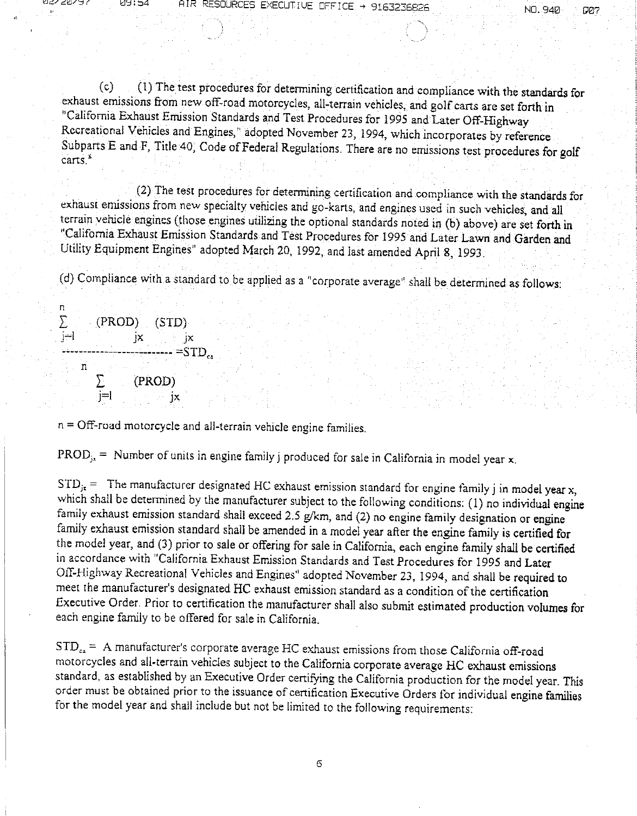ז כ

(c) .(1) The test procedures for determining certification and compliance with the standards for exhaust emissions from new off-road motorcycles, all-terrain vehicles, and golf carts are set forth in 'California Exhaust Emission Standards and Test Procedures for 1995 and Later Off-Highway Recreational Vehicles and Engines," adopted November 23, 1994, which incorporates by reference Subparts E and F, Title 40, Code of Federal Regulations. There are no emissions test procedures for golf carts."

(2) The test procedures for determining certification and compliance with the standards for exhaust emissions from new specialty vehicles and go-karts, and engines used in such vehicles, and all terrain vehicle engines (those engines utilizing the optional standards noted in (b) above) are set forth in "California Exhaust Emission Standards and Test Procedures for 1995 and Later Lawn and Garden and Utility Equipment Engines" adopted March 20, 1992, and last amended April 8, 1993.

(d) Compliance with a standard to be applied as a "corporate average" shall be determined as follows:

n<br>∑ (PROD) (STD)  $j-1$  $\mathbf{x}$  jx  $=$ STD.  $\overline{\mathbf{n}}$  $\sum$ (PROD)  $j=1$  JX  $j\times j\times j$ 

n = Off-road motorcycle and all-terrain vehicle engine families.

PROD<sub>js</sub> = Number of units in engine family j produced for sale in California in model year x.

 $STD_{jx}$  = The manufacturer designated HC exhaust emission standard for engine family j in model year x, which shall be determined by the manufacturer subject to the following conditions: (1) no individual engine family exhaust emission standard shall exceed 2.5 g/km, and (2) no engine family designation or engine family exhaust emission standard shall be amended in a model year after the engine family is certified for the model year, and (3) prior to sale or offering for sale in California, each engine family shall be certified in accordance with "California Exhaust Emission Standards and Test Procedures for 1995 and Later Off-Highway Recreational Vehicles and Engines" adopted November 23, 1994, and shall be required to meet the manufacturer's designated HC exhaust emission standard as a condition of the certification Executive Order. Prior to certification the manufacturer shall also submit estimated production volumes for each engine family to be offered for sale in California.

 $STD<sub>ca</sub> = A manufacturer's corporate average HC exhaust emissions from those California off-road$ motorcycles and all-terrain vehicles subject to the California corporate average HC exhaust emissions standard, as established by an Executive Order certifying the California production for the model year. This order must be obtained prior to the issuance of certification Executive Orders for individual engine families for the model year and shall include but not be limited to the following requirements: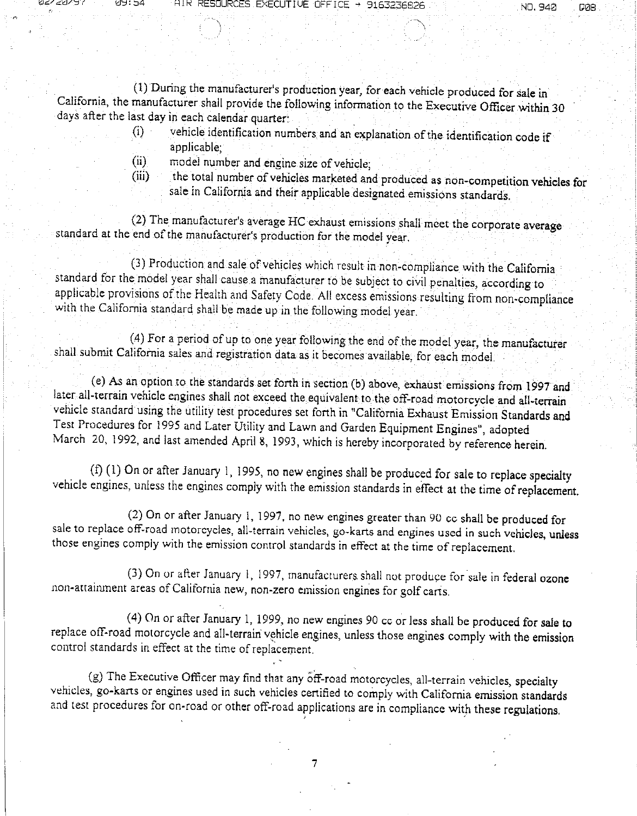777777

AIR RE

(1) During the manufacturer's production year, for each vehicle produced for sale in California, the manufacturer shall provide the following information to the Executive Officer within 30 days after the last day in each calendar quarter:

- (1) vehicle identification numbers and an explanation of the identification code if applicable;
- model number and engine size of vehicle;  $(n)$
- the total number of vehicles marketed and produced as non-competition vehicles for  $(iii)$ sale in California and their applicable designated emissions standards.

(2) The manufacturer's average HC exhaust emissions shall meet the corporate average standard at the end of the manufacturer's production for the model year.

(3) Production and sale of vehicles which result in non-compliance with the California standard for the model year shall cause a manufacturer to be subject to civil penalties, according to applicable provisions of the Health and Safety Code. All excess emissions resulting from non-compliance with the California standard shall be made up in the following model year.

(4) For a period of up to one year following the end of the model year, the manufacturer shall submit California sales and registration data as it becomes available, for each model.

(e) As an option to the standards set forth in section (b) above, exhaust emissions from 1997 and later all-terrain vehicle engines shall not exceed the equivalent to the off-road motorcycle and all-terrain vehicle standard using the utility test procedures set forth in "California Exhaust Emission Standards and Test Procedures for 1995 and Later Utility and Lawn and Garden Equipment Engines", adopted March 20, 1992, and last amended April 8, 1993, which is hereby incorporated by reference herein.

(f) (1) On or after January 1, 1995, no new engines shall be produced for sale to replace specialty vehicle engines, unless the engines comply with the emission standards in effect at the time of replacement.

(2) On or after January 1, 1997, no new engines greater than 90 cc shall be produced for sale to replace off-road motorcycles, all-terrain vehicles, go-karts and engines used in such vehicles, unless those engines comply with the emission control standards in effect at the time of replacement.

(3) On or after January 1, 1997, manufacturers shall not produce for sale in federal ozone non-attainment areas of California new, non-zero emission engines for golf carts.

(4) On or after January 1, 1999, no new engines 90 cc or less shall be produced for sale to replace off-road motorcycle and all-terrain vehicle engines, unless those engines comply with the emission control standards in effect at the time of replacement.

(g) The Executive Officer may find that any off-road motorcycles, all-terrain vehicles, specialty vehicles, go-karts or engines used in such vehicles certified to comply with California emission standards and test procedures for on-road or other off-road applications are in compliance with these regulations.